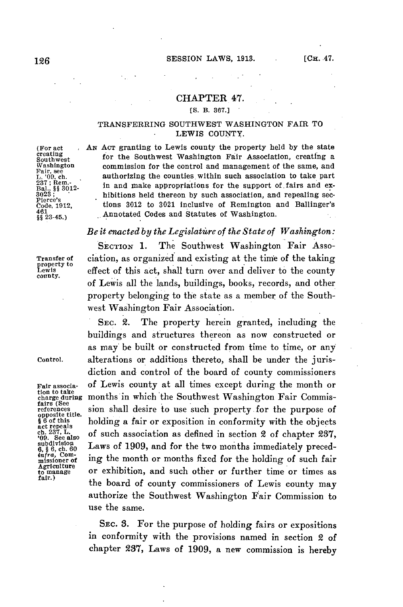## CHAPTER 47.

## **(S.** B. **367.]**

## TRANSFERRING **SOUTHWEST** WASHINGTON FAIR TO LEWIS **COUNTY.**

**creating**

**(For act** *AN* **ACT** granting to Lewis county the property held **by** the state Washington commission for the control and management of the same, and Fair, see<br>L. 09, ch. authorizing the counties within such association to take part<br> $237$ ; Rem.<br>181. § 33012. In and make appropriations for the support 287; Rem.<br> **Bal.** \$8.3012. **In and make appropriations for the support of fairs and ex-<br>
<b>Bal.** \$8.3012<br>
Pierce's **hibitions held thereon by such association, and repealing sec-<br>
Code, 1912, <b>hibitions 3012** to 3021 inclus Text<sup>ers</sup> Code, 1912, tions 3012 to 3021 inclusive of Remington and Ballinger's 461<br>461<br>§§ 23-45.) Annotated Codes and Statutes of Washington. **2345.)** Annotated Codes and Statutes of Washington.

## *Be it enacted by the Legislatire of the State of Washington:*

**tion to take Agriculture**

**SECTION 1.** The Southwest Washington Fair Asso-Transfer of ciation, as organized and existing at the time of the taking<br>
Lewis effect of this act, shall turn over and deliver to the county<br>
county. of Lewis all the lands, buildings, books, records, and other property belonging to the state as a member of the Southwest Washington Fair Association.

**SEC.** 2. The property herein granted, including the buildings and structures thereon as now constructed or as may be built or constructed from time to time, or any control. alterations or additions thereto, shall be under the jurisdiction and control of the board of county commissioners **Fair associa- of** Lewis county at all times except during the month or months in which the Southwest Washington Fair Commisfairs (Sec. sion shall desire to use such property for the purpose of opposite title.<br>
\$6.00 this holding a fair or exposition in conformity with the objects act repeals cholding a fair or exposition in conformity with the objects ch. 237, L.<br> **16 of such association as defined in section 2 of chapter 237,**<br> **16 of such association** as defined in section 2 of chapter 237,<br> **Sub** but visiton<br> **6,**  $\frac{8}{6}$ ,  $\frac{6}{6}$ , ch. 60 **Laws of 1909, and for the two months immediately preced-**<br> **infra**, Com-<br> **ince the month on months fired for the holding of such fait 6. 86, ch. 60** Laws of 1909, and for the two months immediately preced-<br>*infra*, Commissioner of ing the month or months fixed for the holding of such fair Agriculum or exhibition, and such other or further time or times as the board of county commissioners of Lewis county may authorize the Southwest Washington Fair Commission to use the same.

> SEC. **3.** For the purpose of holding fairs or expositions in conformity with the provisions named in section 2 of chapter **237,** Laws of **1909,** a new commission is hereby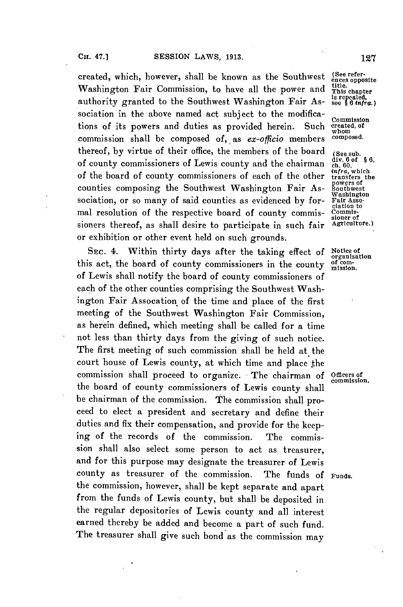created, which, however, shall be known as the Southwest (See refer-<br>Washington Fair Commission, to have all the power and  $\frac{\text{title}}{\text{This chapter}}$ Washington Fair Commission, to have all the power and *title*.<br>authority granted to the Southwest Washington Fair As- is repealed, authority granted to the Southwest Washington Fair Association in the above named act subject to the modifications of its powers and duties as provided herein. Such **created, of** commission shall be composed of, as *ex-officio* members composed. thereof, by virtue of their office, the members of the board (See sub.<br>of county commissioners of Lewis county and the chairman  $\frac{div. 60f}{ch. 60}$ of county commissioners of Lewis county and the chairman ch. 60,<br>of the board of county commissioners of each of the other transfers the of the board of county commissioners of each of the other transfers the counties composing the Southwest Washington Fair As- Southwest sociation, or so many of said counties as evidenced by formal resolution of the respective board of county commis-  $\tilde{C}_{\text{complex}}$  sioners thereof, as shall desire to participate in such fair  $\tilde{A}_{\text{griculture}}$ ) sioners thereof, as shall desire to participate in such fair or exhibition or other event held on such grounds.

Sxc. 4. Within thirty days after the taking effect **of** Notice of this act, the board of county commissioners in the county of comof Lewis shall notify the board of county commissioners of each of the other counties comprising the Southwest Washington Fair Assocation of the time and place of the first meeting of the Southwest Washington Fair Commission, as herein defined, which meeting shall be called for a time not less than thirty days from the giving of such notice. The first meeting of such commission shall be held at the court house of Lewis county, at which time and place the commission shall proceed to organize. **-** The chairman **of** Officers of the board of county commissioners of Lewis county shall be chairman of the commission. The commission shall proceed to elect a president and secretary and define their duties and fix their compensation, and provide for the keeping of the records of the commission. The commission shall also select some person to act as treasurer, and for this purpose may designate the treasurer of Lewis county as treasurer of the commission. The funds **of** Funds. the commission, however, shall be kept separate and apart from the funds of Lewis county, but shall be deposited in the regular depositories of Lewis county and all interest earned thereby be added and become a part of such fund. The treasurer shall give such bond as the commission may

ciation to

organization

commission.